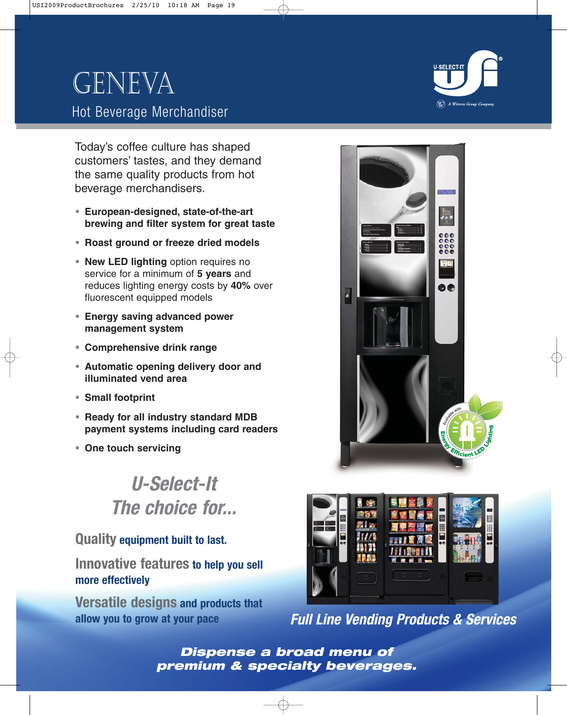# Geneva Hot Beverage Merchandiser



Today's coffee culture has shaped customers' tastes, and they demand the same quality products from hot beverage merchandisers.

- **• European-designed, state-of-the-art brewing and filter system for great taste**
- **• Roast ground or freeze dried models**
- **• New LED lighting** option requires no service for a minimum of **5 years** and reduces lighting energy costs by **40%** over fluorescent equipped models
- **• Energy saving advanced power management system**
- **• Comprehensive drink range**
- **• Automatic opening delivery door and illuminated vend area**
- **• Small footprint**
- **• Ready for all industry standard MDB payment systems including card readers**
- **• One touch servicing**

## **U-Select-It The choice for...**

### **Quality equipment built to last.**

**Innovative features to help you sell more effectively**

**Versatile designs and products that allow you to grow at your pace**





**Full Line Vending Products & Services**

**Dispense a broad menu of premium & specialty beverages.**